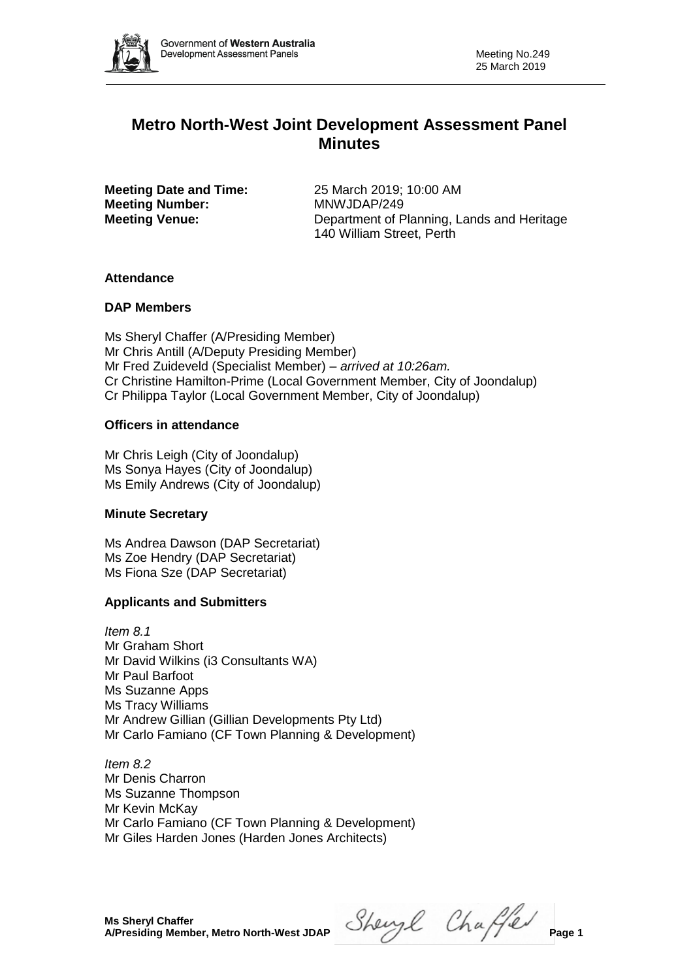

# **Metro North-West Joint Development Assessment Panel Minutes**

**Meeting Number:** MNWJDAP/249

**Meeting Date and Time:** 25 March 2019; 10:00 AM **Meeting Venue:** Department of Planning, Lands and Heritage 140 William Street, Perth

# **Attendance**

# **DAP Members**

Ms Sheryl Chaffer (A/Presiding Member) Mr Chris Antill (A/Deputy Presiding Member) Mr Fred Zuideveld (Specialist Member) *– arrived at 10:26am.* Cr Christine Hamilton-Prime (Local Government Member, City of Joondalup) Cr Philippa Taylor (Local Government Member, City of Joondalup)

# **Officers in attendance**

Mr Chris Leigh (City of Joondalup) Ms Sonya Hayes (City of Joondalup) Ms Emily Andrews (City of Joondalup)

# **Minute Secretary**

Ms Andrea Dawson (DAP Secretariat) Ms Zoe Hendry (DAP Secretariat) Ms Fiona Sze (DAP Secretariat)

# **Applicants and Submitters**

*Item 8.1* Mr Graham Short Mr David Wilkins (i3 Consultants WA) Mr Paul Barfoot Ms Suzanne Apps Ms Tracy Williams Mr Andrew Gillian (Gillian Developments Pty Ltd) Mr Carlo Famiano (CF Town Planning & Development)

*Item 8.2* Mr Denis Charron Ms Suzanne Thompson Mr Kevin McKay Mr Carlo Famiano (CF Town Planning & Development) Mr Giles Harden Jones (Harden Jones Architects)

**A/Presiding Member, Metro North-West JDAP** Shevyl Chaffeld Page 1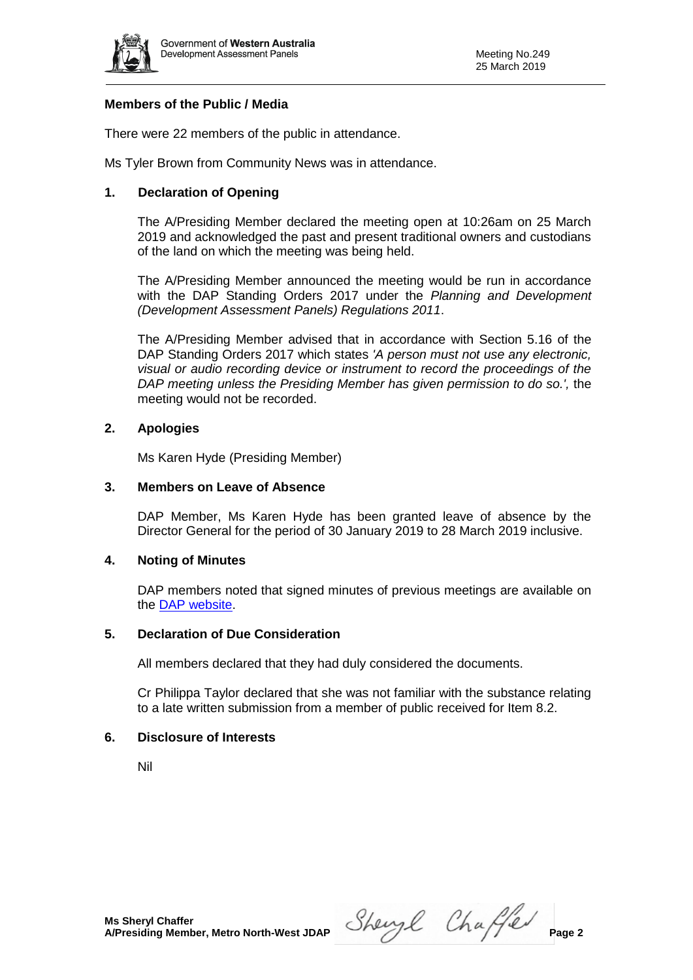

# **Members of the Public / Media**

There were 22 members of the public in attendance.

Ms Tyler Brown from Community News was in attendance.

# **1. Declaration of Opening**

The A/Presiding Member declared the meeting open at 10:26am on 25 March 2019 and acknowledged the past and present traditional owners and custodians of the land on which the meeting was being held.

The A/Presiding Member announced the meeting would be run in accordance with the DAP Standing Orders 2017 under the *Planning and Development (Development Assessment Panels) Regulations 2011*.

The A/Presiding Member advised that in accordance with Section 5.16 of the DAP Standing Orders 2017 which states *'A person must not use any electronic, visual or audio recording device or instrument to record the proceedings of the DAP meeting unless the Presiding Member has given permission to do so.',* the meeting would not be recorded.

### **2. Apologies**

Ms Karen Hyde (Presiding Member)

### **3. Members on Leave of Absence**

DAP Member, Ms Karen Hyde has been granted leave of absence by the Director General for the period of 30 January 2019 to 28 March 2019 inclusive.

### **4. Noting of Minutes**

DAP members noted that signed minutes of previous meetings are available on the [DAP website.](https://www.dplh.wa.gov.au/about/development-assessment-panels/daps-agendas-and-minutes)

### **5. Declaration of Due Consideration**

All members declared that they had duly considered the documents.

Cr Philippa Taylor declared that she was not familiar with the substance relating to a late written submission from a member of public received for Item 8.2.

# **6. Disclosure of Interests**

Nil

**Ms Sheryl Chaffer**<br>A/Presiding Member, Metro North-West JDAP Sherry Chafel Page 2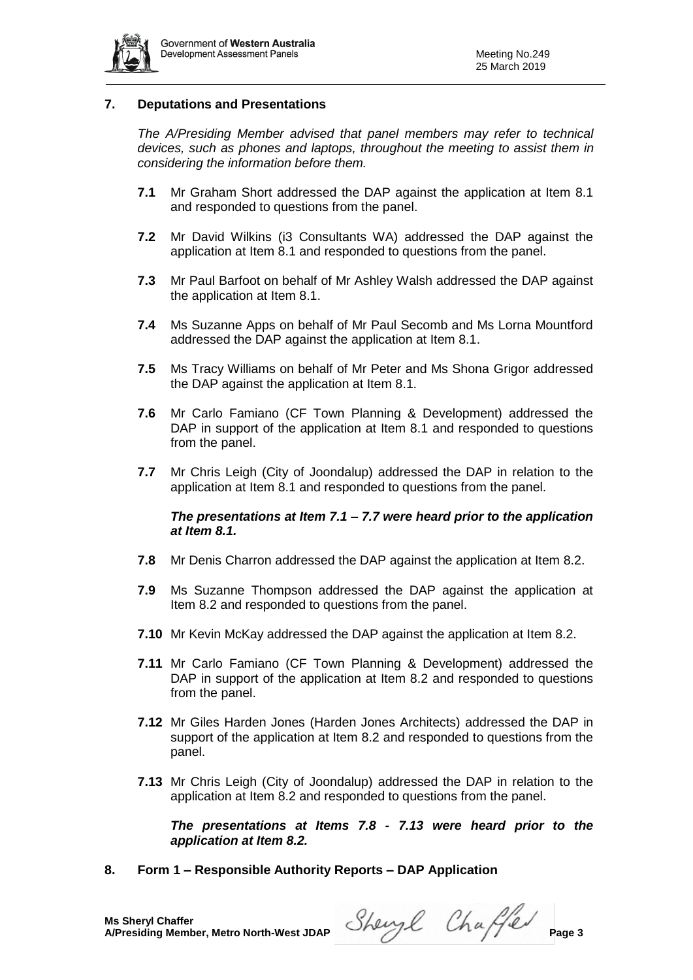

### **7. Deputations and Presentations**

*The A/Presiding Member advised that panel members may refer to technical devices, such as phones and laptops, throughout the meeting to assist them in considering the information before them.*

- **7.1** Mr Graham Short addressed the DAP against the application at Item 8.1 and responded to questions from the panel.
- **7.2** Mr David Wilkins (i3 Consultants WA) addressed the DAP against the application at Item 8.1 and responded to questions from the panel.
- **7.3** Mr Paul Barfoot on behalf of Mr Ashley Walsh addressed the DAP against the application at Item 8.1.
- **7.4** Ms Suzanne Apps on behalf of Mr Paul Secomb and Ms Lorna Mountford addressed the DAP against the application at Item 8.1.
- **7.5** Ms Tracy Williams on behalf of Mr Peter and Ms Shona Grigor addressed the DAP against the application at Item 8.1.
- **7.6** Mr Carlo Famiano (CF Town Planning & Development) addressed the DAP in support of the application at Item 8.1 and responded to questions from the panel.
- **7.7** Mr Chris Leigh (City of Joondalup) addressed the DAP in relation to the application at Item 8.1 and responded to questions from the panel.

### *The presentations at Item 7.1 – 7.7 were heard prior to the application at Item 8.1.*

- **7.8** Mr Denis Charron addressed the DAP against the application at Item 8.2.
- **7.9** Ms Suzanne Thompson addressed the DAP against the application at Item 8.2 and responded to questions from the panel.
- **7.10** Mr Kevin McKay addressed the DAP against the application at Item 8.2.
- **7.11** Mr Carlo Famiano (CF Town Planning & Development) addressed the DAP in support of the application at Item 8.2 and responded to questions from the panel.
- **7.12** Mr Giles Harden Jones (Harden Jones Architects) addressed the DAP in support of the application at Item 8.2 and responded to questions from the panel.
- **7.13** Mr Chris Leigh (City of Joondalup) addressed the DAP in relation to the application at Item 8.2 and responded to questions from the panel.

*The presentations at Items 7.8 - 7.13 were heard prior to the application at Item 8.2.* 

**8. Form 1 – Responsible Authority Reports – DAP Application**

**A/Presiding Member, Metro North-West JDAP** Shevyl Chaffeld Page 3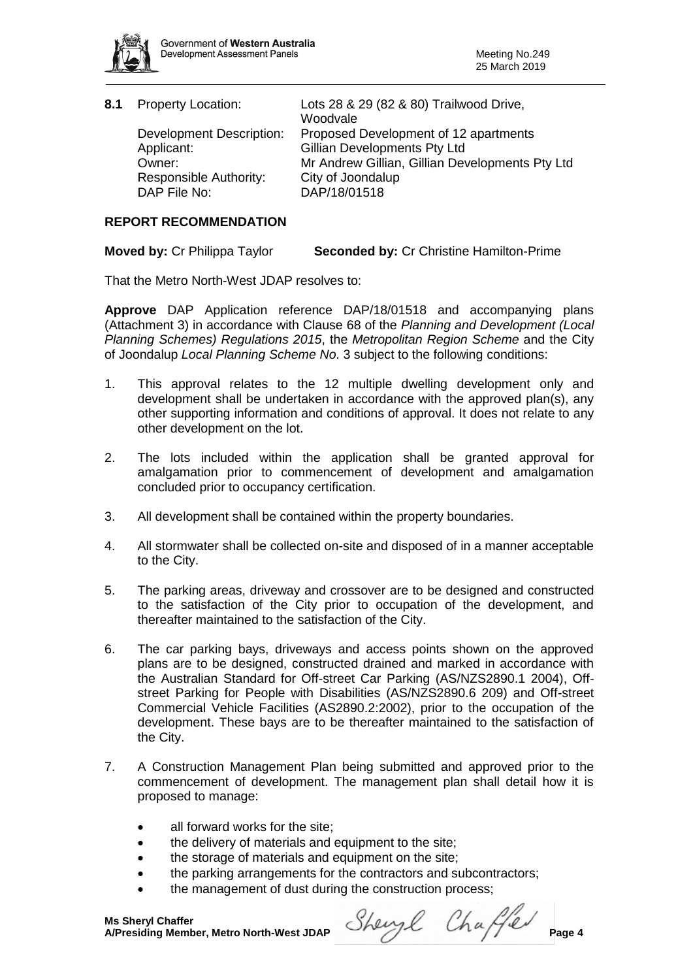

| 8.1 | <b>Property Location:</b>       | Lots 28 & 29 (82 & 80) Trailwood Drive,<br>Woodvale |
|-----|---------------------------------|-----------------------------------------------------|
|     | <b>Development Description:</b> | Proposed Development of 12 apartments               |
|     | Applicant:                      | <b>Gillian Developments Pty Ltd</b>                 |
|     | Owner:                          | Mr Andrew Gillian, Gillian Developments Pty Ltd     |
|     | Responsible Authority:          | City of Joondalup                                   |
|     | DAP File No:                    | DAP/18/01518                                        |
|     |                                 |                                                     |

# **REPORT RECOMMENDATION**

**Moved by:** Cr Philippa Taylor **Seconded by:** Cr Christine Hamilton-Prime

That the Metro North-West JDAP resolves to:

**Approve** DAP Application reference DAP/18/01518 and accompanying plans (Attachment 3) in accordance with Clause 68 of the *Planning and Development (Local Planning Schemes) Regulations 2015*, the *Metropolitan Region Scheme* and the City of Joondalup *Local Planning Scheme No*. 3 subject to the following conditions:

- 1. This approval relates to the 12 multiple dwelling development only and development shall be undertaken in accordance with the approved plan(s), any other supporting information and conditions of approval. It does not relate to any other development on the lot.
- 2. The lots included within the application shall be granted approval for amalgamation prior to commencement of development and amalgamation concluded prior to occupancy certification.
- 3. All development shall be contained within the property boundaries.
- 4. All stormwater shall be collected on-site and disposed of in a manner acceptable to the City.
- 5. The parking areas, driveway and crossover are to be designed and constructed to the satisfaction of the City prior to occupation of the development, and thereafter maintained to the satisfaction of the City.
- 6. The car parking bays, driveways and access points shown on the approved plans are to be designed, constructed drained and marked in accordance with the Australian Standard for Off-street Car Parking (AS/NZS2890.1 2004), Offstreet Parking for People with Disabilities (AS/NZS2890.6 209) and Off-street Commercial Vehicle Facilities (AS2890.2:2002), prior to the occupation of the development. These bays are to be thereafter maintained to the satisfaction of the City.
- 7. A Construction Management Plan being submitted and approved prior to the commencement of development. The management plan shall detail how it is proposed to manage:
	- all forward works for the site:
	- the delivery of materials and equipment to the site:
	- the storage of materials and equipment on the site;
	- the parking arrangements for the contractors and subcontractors;
	- the management of dust during the construction process;

**A/Presiding Member, Metro North-West JDAP** Shevyl Chaffeld Page 4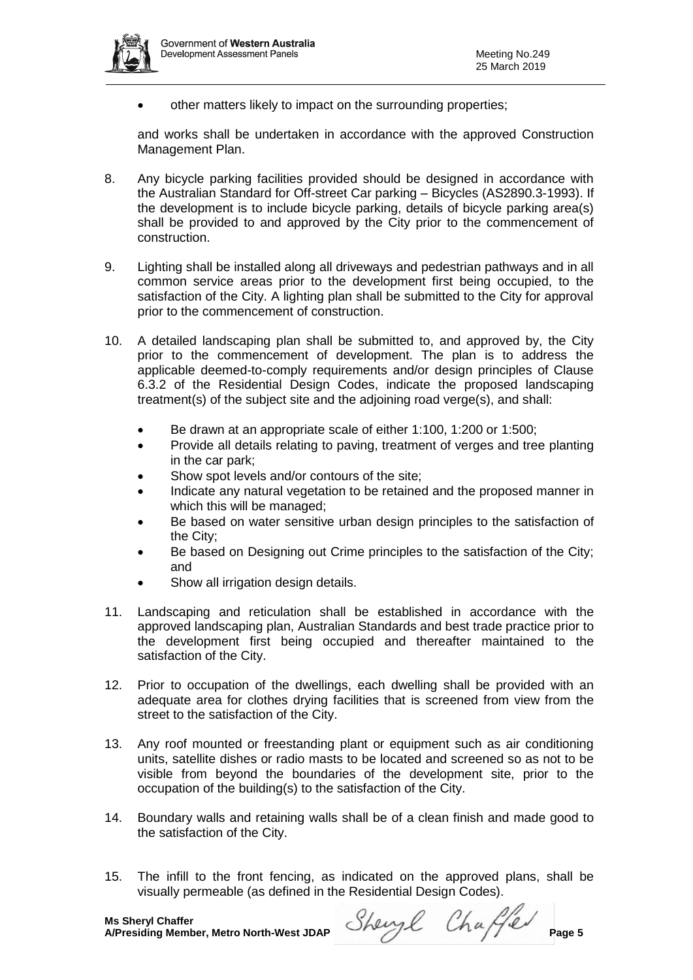

• other matters likely to impact on the surrounding properties;

and works shall be undertaken in accordance with the approved Construction Management Plan.

- 8. Any bicycle parking facilities provided should be designed in accordance with the Australian Standard for Off-street Car parking – Bicycles (AS2890.3-1993). If the development is to include bicycle parking, details of bicycle parking area(s) shall be provided to and approved by the City prior to the commencement of construction.
- 9. Lighting shall be installed along all driveways and pedestrian pathways and in all common service areas prior to the development first being occupied, to the satisfaction of the City. A lighting plan shall be submitted to the City for approval prior to the commencement of construction.
- 10. A detailed landscaping plan shall be submitted to, and approved by, the City prior to the commencement of development. The plan is to address the applicable deemed-to-comply requirements and/or design principles of Clause 6.3.2 of the Residential Design Codes, indicate the proposed landscaping treatment(s) of the subject site and the adjoining road verge(s), and shall:
	- Be drawn at an appropriate scale of either 1:100, 1:200 or 1:500;
	- Provide all details relating to paving, treatment of verges and tree planting in the car park;
	- Show spot levels and/or contours of the site;
	- Indicate any natural vegetation to be retained and the proposed manner in which this will be managed;
	- Be based on water sensitive urban design principles to the satisfaction of the City;
	- Be based on Designing out Crime principles to the satisfaction of the City; and
	- Show all irrigation design details.
- 11. Landscaping and reticulation shall be established in accordance with the approved landscaping plan, Australian Standards and best trade practice prior to the development first being occupied and thereafter maintained to the satisfaction of the City.
- 12. Prior to occupation of the dwellings, each dwelling shall be provided with an adequate area for clothes drying facilities that is screened from view from the street to the satisfaction of the City.
- 13. Any roof mounted or freestanding plant or equipment such as air conditioning units, satellite dishes or radio masts to be located and screened so as not to be visible from beyond the boundaries of the development site, prior to the occupation of the building(s) to the satisfaction of the City.
- 14. Boundary walls and retaining walls shall be of a clean finish and made good to the satisfaction of the City.
- 15. The infill to the front fencing, as indicated on the approved plans, shall be visually permeable (as defined in the Residential Design Codes).

**A/Presiding Member, Metro North-West JDAP** Shevyl Chaffeld Page 5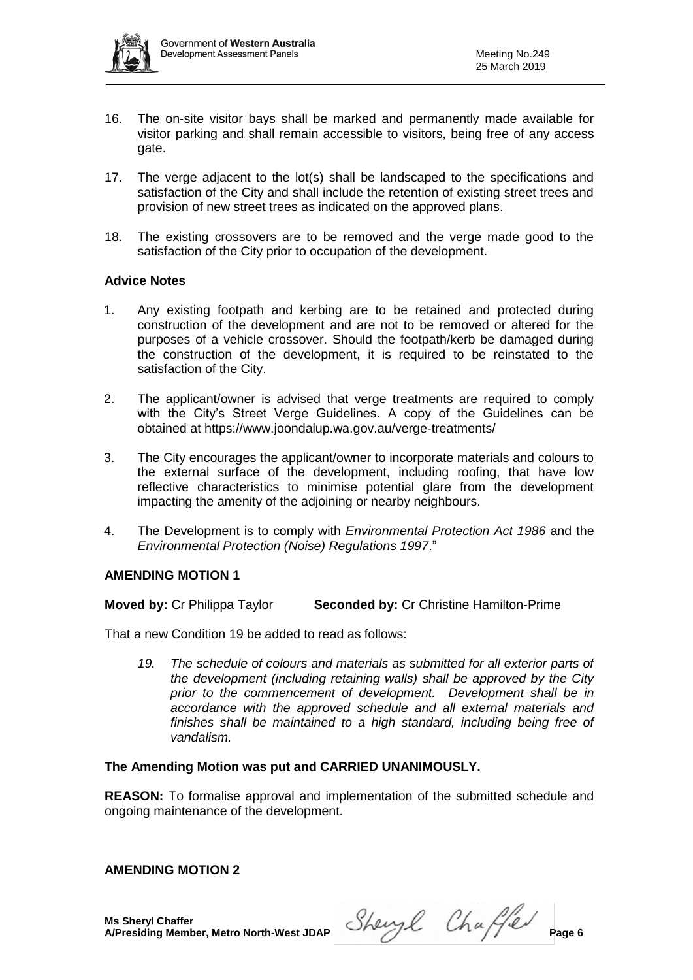

- 16. The on-site visitor bays shall be marked and permanently made available for visitor parking and shall remain accessible to visitors, being free of any access gate.
- 17. The verge adjacent to the lot(s) shall be landscaped to the specifications and satisfaction of the City and shall include the retention of existing street trees and provision of new street trees as indicated on the approved plans.
- 18. The existing crossovers are to be removed and the verge made good to the satisfaction of the City prior to occupation of the development.

# **Advice Notes**

- 1. Any existing footpath and kerbing are to be retained and protected during construction of the development and are not to be removed or altered for the purposes of a vehicle crossover. Should the footpath/kerb be damaged during the construction of the development, it is required to be reinstated to the satisfaction of the City.
- 2. The applicant/owner is advised that verge treatments are required to comply with the City's Street Verge Guidelines. A copy of the Guidelines can be obtained at<https://www.joondalup.wa.gov.au/verge-treatments/>
- 3. The City encourages the applicant/owner to incorporate materials and colours to the external surface of the development, including roofing, that have low reflective characteristics to minimise potential glare from the development impacting the amenity of the adjoining or nearby neighbours.
- 4. The Development is to comply with *Environmental Protection Act 1986* and the *Environmental Protection (Noise) Regulations 1997*."

### **AMENDING MOTION 1**

**Moved by:** Cr Philippa Taylor **Seconded by:** Cr Christine Hamilton-Prime

That a new Condition 19 be added to read as follows:

*19. The schedule of colours and materials as submitted for all exterior parts of the development (including retaining walls) shall be approved by the City prior to the commencement of development. Development shall be in accordance with the approved schedule and all external materials and finishes shall be maintained to a high standard, including being free of vandalism.*

### **The Amending Motion was put and CARRIED UNANIMOUSLY.**

**REASON:** To formalise approval and implementation of the submitted schedule and ongoing maintenance of the development.

**AMENDING MOTION 2**

**A/Presiding Member, Metro North-West JDAP** Shevyl Chaffeld Page 6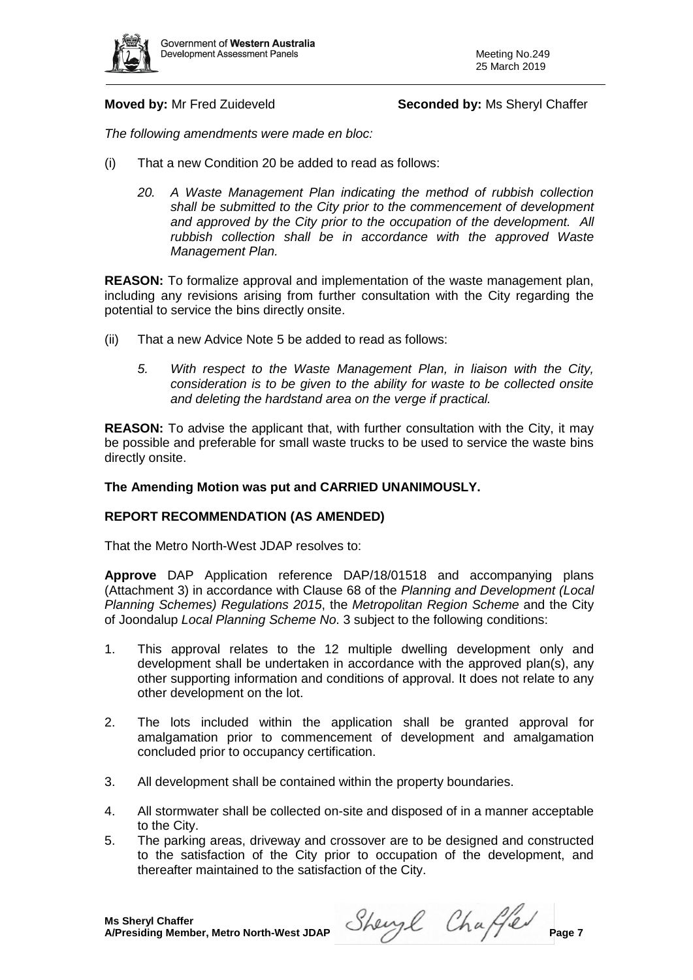

# **Moved by:** Mr Fred Zuideveld **Seconded by:** Ms Sheryl Chaffer

*The following amendments were made en bloc:*

- (i) That a new Condition 20 be added to read as follows:
	- *20. A Waste Management Plan indicating the method of rubbish collection shall be submitted to the City prior to the commencement of development and approved by the City prior to the occupation of the development. All rubbish collection shall be in accordance with the approved Waste Management Plan.*

**REASON:** To formalize approval and implementation of the waste management plan, including any revisions arising from further consultation with the City regarding the potential to service the bins directly onsite.

- (ii) That a new Advice Note 5 be added to read as follows:
	- *5. With respect to the Waste Management Plan, in liaison with the City, consideration is to be given to the ability for waste to be collected onsite and deleting the hardstand area on the verge if practical.*

**REASON:** To advise the applicant that, with further consultation with the City, it may be possible and preferable for small waste trucks to be used to service the waste bins directly onsite.

### **The Amending Motion was put and CARRIED UNANIMOUSLY.**

# **REPORT RECOMMENDATION (AS AMENDED)**

That the Metro North-West JDAP resolves to:

**Approve** DAP Application reference DAP/18/01518 and accompanying plans (Attachment 3) in accordance with Clause 68 of the *Planning and Development (Local Planning Schemes) Regulations 2015*, the *Metropolitan Region Scheme* and the City of Joondalup *Local Planning Scheme No*. 3 subject to the following conditions:

- 1. This approval relates to the 12 multiple dwelling development only and development shall be undertaken in accordance with the approved plan(s), any other supporting information and conditions of approval. It does not relate to any other development on the lot.
- 2. The lots included within the application shall be granted approval for amalgamation prior to commencement of development and amalgamation concluded prior to occupancy certification.
- 3. All development shall be contained within the property boundaries.
- 4. All stormwater shall be collected on-site and disposed of in a manner acceptable to the City.
- 5. The parking areas, driveway and crossover are to be designed and constructed to the satisfaction of the City prior to occupation of the development, and thereafter maintained to the satisfaction of the City.

**A/Presiding Member, Metro North-West JDAP** Shevyl Chaffeld Page 7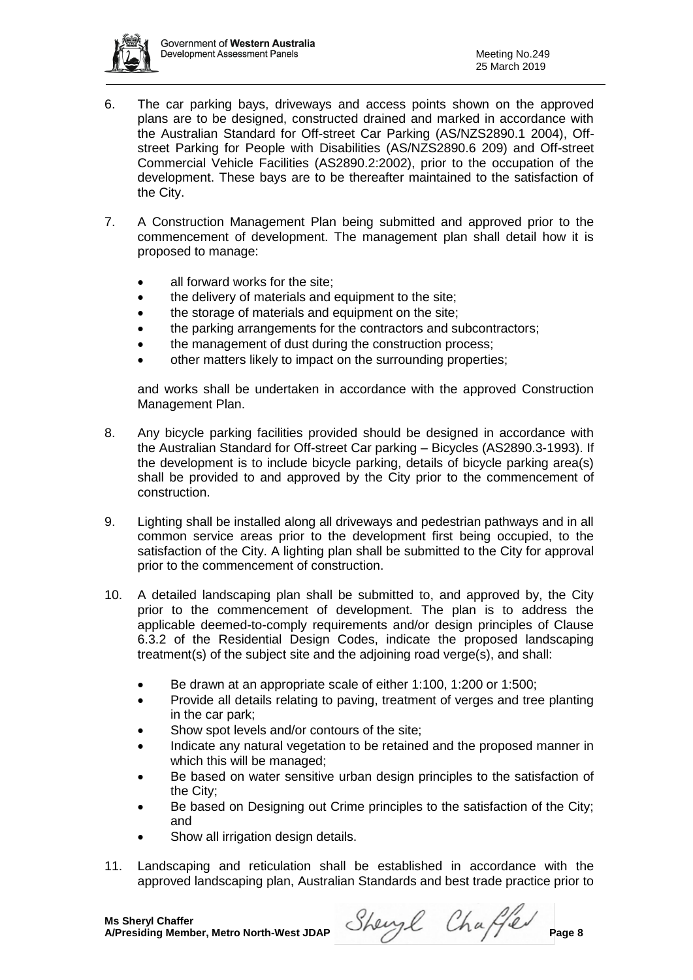

- 6. The car parking bays, driveways and access points shown on the approved plans are to be designed, constructed drained and marked in accordance with the Australian Standard for Off-street Car Parking (AS/NZS2890.1 2004), Offstreet Parking for People with Disabilities (AS/NZS2890.6 209) and Off-street Commercial Vehicle Facilities (AS2890.2:2002), prior to the occupation of the development. These bays are to be thereafter maintained to the satisfaction of the City.
- 7. A Construction Management Plan being submitted and approved prior to the commencement of development. The management plan shall detail how it is proposed to manage:
	- all forward works for the site;
	- the delivery of materials and equipment to the site;
	- the storage of materials and equipment on the site;
	- the parking arrangements for the contractors and subcontractors;
	- the management of dust during the construction process;
	- other matters likely to impact on the surrounding properties;

and works shall be undertaken in accordance with the approved Construction Management Plan.

- 8. Any bicycle parking facilities provided should be designed in accordance with the Australian Standard for Off-street Car parking – Bicycles (AS2890.3-1993). If the development is to include bicycle parking, details of bicycle parking area(s) shall be provided to and approved by the City prior to the commencement of construction.
- 9. Lighting shall be installed along all driveways and pedestrian pathways and in all common service areas prior to the development first being occupied, to the satisfaction of the City. A lighting plan shall be submitted to the City for approval prior to the commencement of construction.
- 10. A detailed landscaping plan shall be submitted to, and approved by, the City prior to the commencement of development. The plan is to address the applicable deemed-to-comply requirements and/or design principles of Clause 6.3.2 of the Residential Design Codes, indicate the proposed landscaping treatment(s) of the subject site and the adjoining road verge(s), and shall:
	- Be drawn at an appropriate scale of either 1:100, 1:200 or 1:500;
	- Provide all details relating to paving, treatment of verges and tree planting in the car park;
	- Show spot levels and/or contours of the site;
	- Indicate any natural vegetation to be retained and the proposed manner in which this will be managed;
	- Be based on water sensitive urban design principles to the satisfaction of the City;
	- Be based on Designing out Crime principles to the satisfaction of the City; and
	- Show all irrigation design details.
- 11. Landscaping and reticulation shall be established in accordance with the approved landscaping plan, Australian Standards and best trade practice prior to

**A/Presiding Member, Metro North-West JDAP Page 8**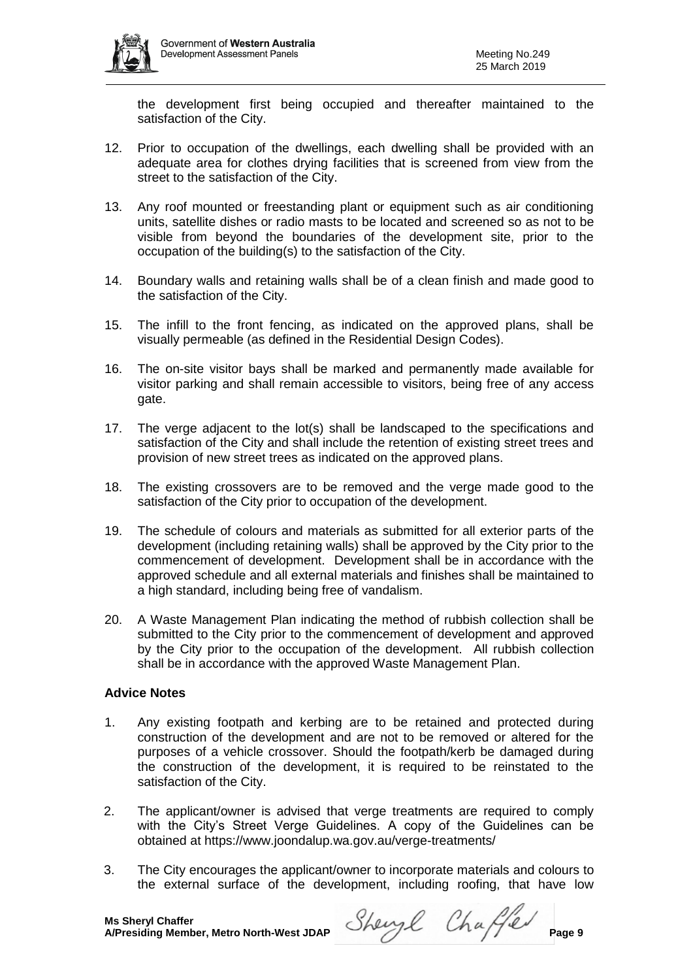

the development first being occupied and thereafter maintained to the satisfaction of the City.

- 12. Prior to occupation of the dwellings, each dwelling shall be provided with an adequate area for clothes drying facilities that is screened from view from the street to the satisfaction of the City.
- 13. Any roof mounted or freestanding plant or equipment such as air conditioning units, satellite dishes or radio masts to be located and screened so as not to be visible from beyond the boundaries of the development site, prior to the occupation of the building(s) to the satisfaction of the City.
- 14. Boundary walls and retaining walls shall be of a clean finish and made good to the satisfaction of the City.
- 15. The infill to the front fencing, as indicated on the approved plans, shall be visually permeable (as defined in the Residential Design Codes).
- 16. The on-site visitor bays shall be marked and permanently made available for visitor parking and shall remain accessible to visitors, being free of any access gate.
- 17. The verge adjacent to the lot(s) shall be landscaped to the specifications and satisfaction of the City and shall include the retention of existing street trees and provision of new street trees as indicated on the approved plans.
- 18. The existing crossovers are to be removed and the verge made good to the satisfaction of the City prior to occupation of the development.
- 19. The schedule of colours and materials as submitted for all exterior parts of the development (including retaining walls) shall be approved by the City prior to the commencement of development. Development shall be in accordance with the approved schedule and all external materials and finishes shall be maintained to a high standard, including being free of vandalism.
- 20. A Waste Management Plan indicating the method of rubbish collection shall be submitted to the City prior to the commencement of development and approved by the City prior to the occupation of the development. All rubbish collection shall be in accordance with the approved Waste Management Plan.

# **Advice Notes**

- 1. Any existing footpath and kerbing are to be retained and protected during construction of the development and are not to be removed or altered for the purposes of a vehicle crossover. Should the footpath/kerb be damaged during the construction of the development, it is required to be reinstated to the satisfaction of the City.
- 2. The applicant/owner is advised that verge treatments are required to comply with the City's Street Verge Guidelines. A copy of the Guidelines can be obtained at<https://www.joondalup.wa.gov.au/verge-treatments/>
- 3. The City encourages the applicant/owner to incorporate materials and colours to the external surface of the development, including roofing, that have low

**A/Presiding Member, Metro North-West JDAP** Sherry Chaffed Page 9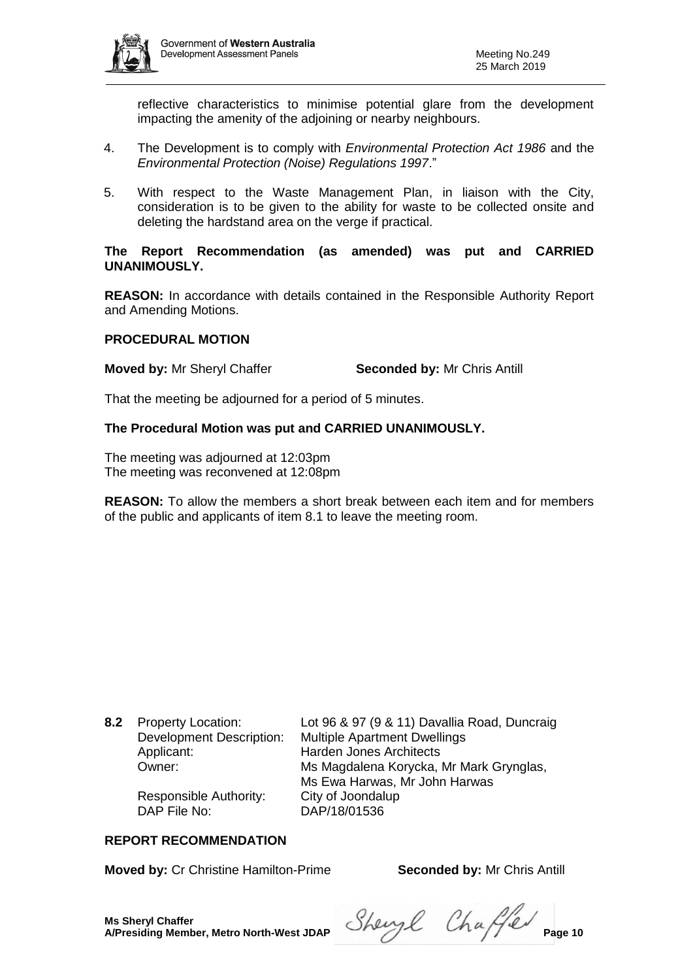

reflective characteristics to minimise potential glare from the development impacting the amenity of the adjoining or nearby neighbours.

- 4. The Development is to comply with *Environmental Protection Act 1986* and the *Environmental Protection (Noise) Regulations 1997*."
- 5. With respect to the Waste Management Plan, in liaison with the City, consideration is to be given to the ability for waste to be collected onsite and deleting the hardstand area on the verge if practical.

### **The Report Recommendation (as amended) was put and CARRIED UNANIMOUSLY.**

**REASON:** In accordance with details contained in the Responsible Authority Report and Amending Motions.

### **PROCEDURAL MOTION**

**Moved by:** Mr Sheryl Chaffer **Seconded by:** Mr Chris Antill

That the meeting be adjourned for a period of 5 minutes.

### **The Procedural Motion was put and CARRIED UNANIMOUSLY.**

The meeting was adjourned at 12:03pm The meeting was reconvened at 12:08pm

**REASON:** To allow the members a short break between each item and for members of the public and applicants of item 8.1 to leave the meeting room.

Applicant: Harden Jones Architects

**8.2** Property Location: Lot 96 & 97 (9 & 11) Davallia Road, Duncraig Development Description: Multiple Apartment Dwellings Owner: Ms Magdalena Korycka, Mr Mark Grynglas, Ms Ewa Harwas, Mr John Harwas

Responsible Authority: City of Joondalup DAP File No: DAP/18/01536

# **REPORT RECOMMENDATION**

**Moved by:** Cr Christine Hamilton-Prime **Seconded by:** Mr Chris Antill

**Ms Sheryl Chaffer**<br>A/Presiding Member, Metro North-West JDAP Sherry Chafel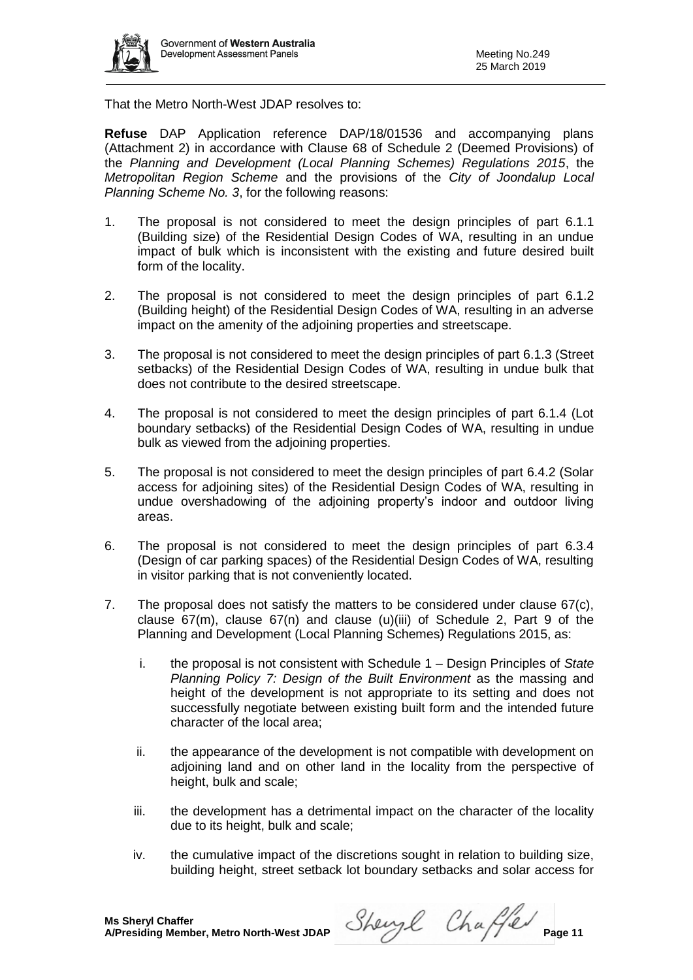

That the Metro North-West JDAP resolves to:

**Refuse** DAP Application reference DAP/18/01536 and accompanying plans (Attachment 2) in accordance with Clause 68 of Schedule 2 (Deemed Provisions) of the *Planning and Development (Local Planning Schemes) Regulations 2015*, the *Metropolitan Region Scheme* and the provisions of the *City of Joondalup Local Planning Scheme No. 3*, for the following reasons:

- 1. The proposal is not considered to meet the design principles of part 6.1.1 (Building size) of the Residential Design Codes of WA, resulting in an undue impact of bulk which is inconsistent with the existing and future desired built form of the locality.
- 2. The proposal is not considered to meet the design principles of part 6.1.2 (Building height) of the Residential Design Codes of WA, resulting in an adverse impact on the amenity of the adjoining properties and streetscape.
- 3. The proposal is not considered to meet the design principles of part 6.1.3 (Street setbacks) of the Residential Design Codes of WA, resulting in undue bulk that does not contribute to the desired streetscape.
- 4. The proposal is not considered to meet the design principles of part 6.1.4 (Lot boundary setbacks) of the Residential Design Codes of WA, resulting in undue bulk as viewed from the adjoining properties.
- 5. The proposal is not considered to meet the design principles of part 6.4.2 (Solar access for adjoining sites) of the Residential Design Codes of WA, resulting in undue overshadowing of the adjoining property's indoor and outdoor living areas.
- 6. The proposal is not considered to meet the design principles of part 6.3.4 (Design of car parking spaces) of the Residential Design Codes of WA, resulting in visitor parking that is not conveniently located.
- 7. The proposal does not satisfy the matters to be considered under clause 67(c), clause 67(m), clause 67(n) and clause (u)(iii) of Schedule 2, Part 9 of the Planning and Development (Local Planning Schemes) Regulations 2015, as:
	- i. the proposal is not consistent with Schedule 1 Design Principles of *State Planning Policy 7: Design of the Built Environment* as the massing and height of the development is not appropriate to its setting and does not successfully negotiate between existing built form and the intended future character of the local area;
	- ii. the appearance of the development is not compatible with development on adjoining land and on other land in the locality from the perspective of height, bulk and scale;
	- iii. the development has a detrimental impact on the character of the locality due to its height, bulk and scale;
	- iv. the cumulative impact of the discretions sought in relation to building size, building height, street setback lot boundary setbacks and solar access for

**Ms Sheryl Chaffer**<br>A/Presiding Member, Metro North-West JDAP Sherry Chafel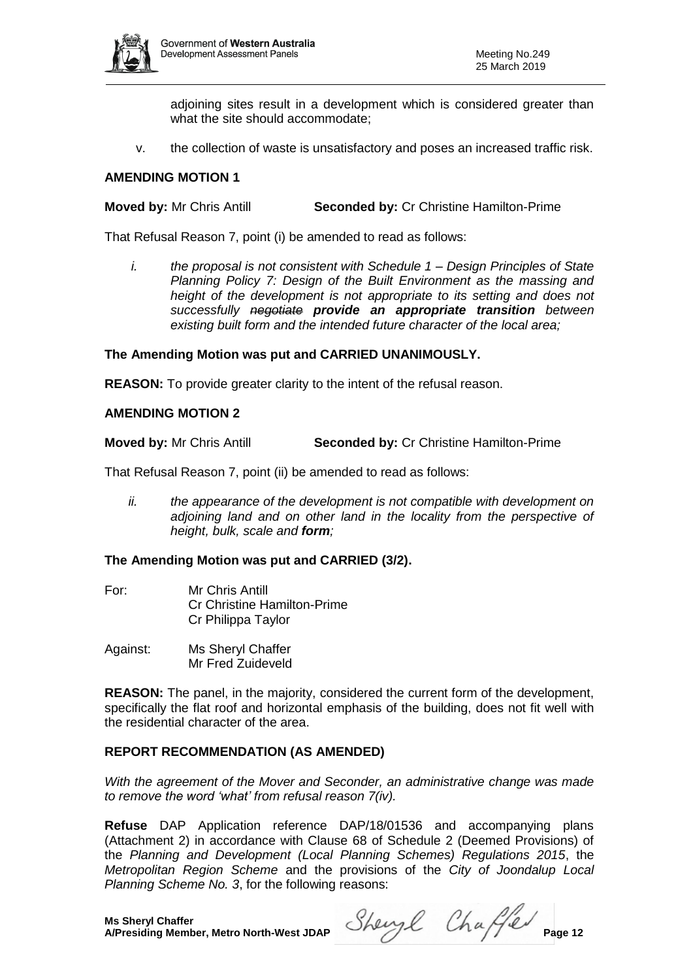

adjoining sites result in a development which is considered greater than what the site should accommodate;

v. the collection of waste is unsatisfactory and poses an increased traffic risk.

### **AMENDING MOTION 1**

**Moved by:** Mr Chris Antill **Seconded by:** Cr Christine Hamilton-Prime

That Refusal Reason 7, point (i) be amended to read as follows:

*i. the proposal is not consistent with Schedule 1 – Design Principles of State Planning Policy 7: Design of the Built Environment as the massing and height of the development is not appropriate to its setting and does not successfully negotiate provide an appropriate transition between existing built form and the intended future character of the local area;*

**The Amending Motion was put and CARRIED UNANIMOUSLY.** 

**REASON:** To provide greater clarity to the intent of the refusal reason.

# **AMENDING MOTION 2**

**Moved by:** Mr Chris Antill **Seconded by:** Cr Christine Hamilton-Prime

That Refusal Reason 7, point (ii) be amended to read as follows:

*ii. the appearance of the development is not compatible with development on adjoining land and on other land in the locality from the perspective of height, bulk, scale and form;*

### **The Amending Motion was put and CARRIED (3/2).**

- For: Mr Chris Antill Cr Christine Hamilton-Prime Cr Philippa Taylor
- Against: Ms Sheryl Chaffer Mr Fred Zuideveld

**REASON:** The panel, in the majority, considered the current form of the development, specifically the flat roof and horizontal emphasis of the building, does not fit well with the residential character of the area.

# **REPORT RECOMMENDATION (AS AMENDED)**

*With the agreement of the Mover and Seconder, an administrative change was made to remove the word 'what' from refusal reason 7(iv).*

**Refuse** DAP Application reference DAP/18/01536 and accompanying plans (Attachment 2) in accordance with Clause 68 of Schedule 2 (Deemed Provisions) of the *Planning and Development (Local Planning Schemes) Regulations 2015*, the *Metropolitan Region Scheme* and the provisions of the *City of Joondalup Local Planning Scheme No. 3*, for the following reasons:

**A/Presiding Member, Metro North-West JDAP Page 12**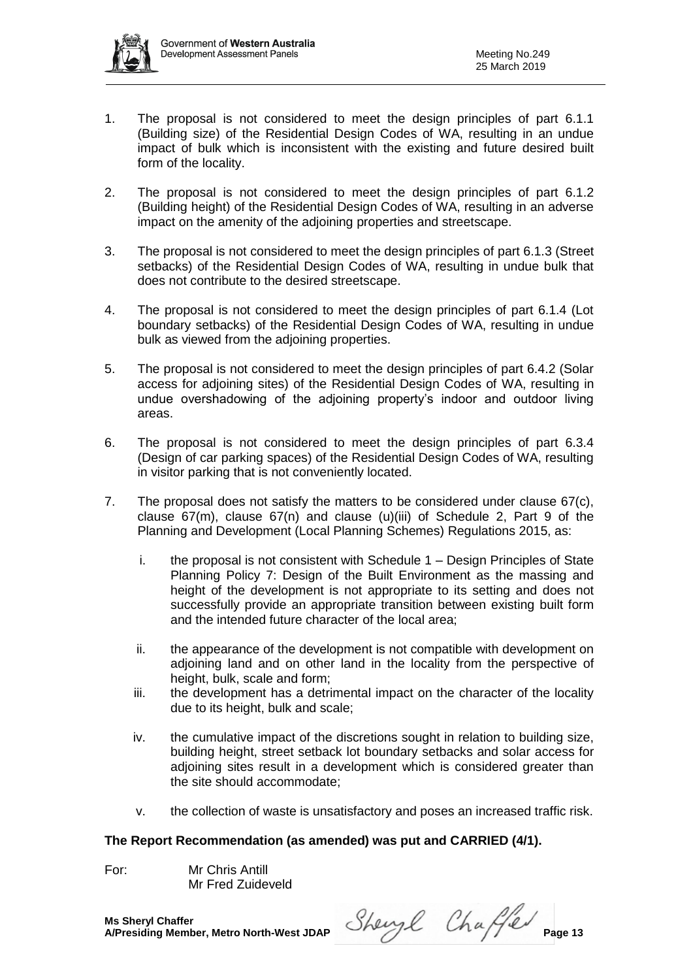

- 1. The proposal is not considered to meet the design principles of part 6.1.1 (Building size) of the Residential Design Codes of WA, resulting in an undue impact of bulk which is inconsistent with the existing and future desired built form of the locality.
- 2. The proposal is not considered to meet the design principles of part 6.1.2 (Building height) of the Residential Design Codes of WA, resulting in an adverse impact on the amenity of the adjoining properties and streetscape.
- 3. The proposal is not considered to meet the design principles of part 6.1.3 (Street setbacks) of the Residential Design Codes of WA, resulting in undue bulk that does not contribute to the desired streetscape.
- 4. The proposal is not considered to meet the design principles of part 6.1.4 (Lot boundary setbacks) of the Residential Design Codes of WA, resulting in undue bulk as viewed from the adjoining properties.
- 5. The proposal is not considered to meet the design principles of part 6.4.2 (Solar access for adjoining sites) of the Residential Design Codes of WA, resulting in undue overshadowing of the adjoining property's indoor and outdoor living areas.
- 6. The proposal is not considered to meet the design principles of part 6.3.4 (Design of car parking spaces) of the Residential Design Codes of WA, resulting in visitor parking that is not conveniently located.
- 7. The proposal does not satisfy the matters to be considered under clause 67(c), clause 67(m), clause 67(n) and clause (u)(iii) of Schedule 2, Part 9 of the Planning and Development (Local Planning Schemes) Regulations 2015, as:
	- i. the proposal is not consistent with Schedule 1 Design Principles of State Planning Policy 7: Design of the Built Environment as the massing and height of the development is not appropriate to its setting and does not successfully provide an appropriate transition between existing built form and the intended future character of the local area;
	- ii. the appearance of the development is not compatible with development on adjoining land and on other land in the locality from the perspective of height, bulk, scale and form;
	- iii. the development has a detrimental impact on the character of the locality due to its height, bulk and scale;
	- iv. the cumulative impact of the discretions sought in relation to building size, building height, street setback lot boundary setbacks and solar access for adjoining sites result in a development which is considered greater than the site should accommodate;
	- v. the collection of waste is unsatisfactory and poses an increased traffic risk.

# **The Report Recommendation (as amended) was put and CARRIED (4/1).**

For: Mr Chris Antill Mr Fred Zuideveld

Ms Sheryl Chaffer<br>A/Presiding Member, Metro North-West JDAP Sherryl Chaffer